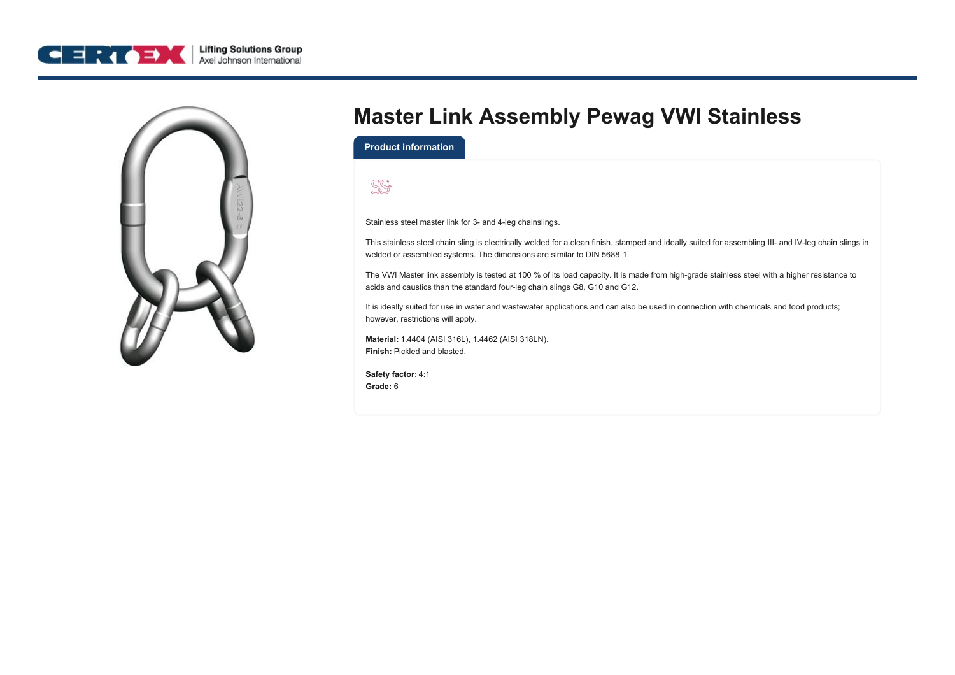



## **Master Link Assembly Pewag VWI Stainless**

**Product information**



Stainless steel master link for 3- and 4-leg chainslings.

This stainless steel chain sling is electrically welded for a clean finish, stamped and ideally suited for assembling III- and IV-leg chain slings in welded or assembled systems. The dimensions are similar to DIN 5688‑1.

The VWI Master link assembly is tested at 100 % of its load capacity. It is made from high-grade stainless steel with a higher resistance to acids and caustics than the standard four-leg chain slings G8, G10 and G12.

It is ideally suited for use in water and wastewater applications and can also be used in connection with chemicals and food products; however, restrictions will apply.

**Material:** 1.4404 (AISI 316L), 1.4462 (AISI 318LN). **Finish:** Pickled and blasted.

**Safety factor:** 4:1 **Grade:** 6